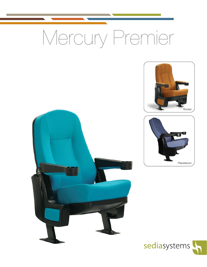# Mercury Premier







Ġ